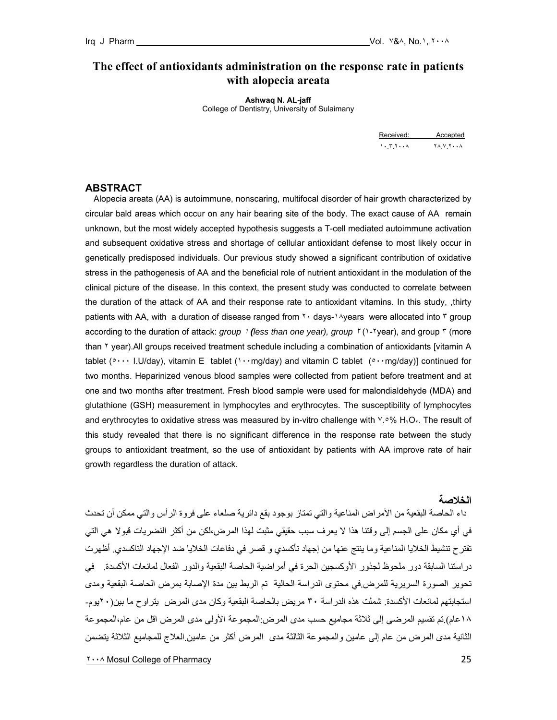# **The effect of antioxidants administration on the response rate in patients with alopecia areata**

**Ashwaq N. AL-jaff**  College of Dentistry, University of Sulaimany

Received: Accepted ١٠.٣.٢٠٠٨ ٢٨.٧.٢٠٠٨

#### **ABSTRACT**

 Alopecia areata (AA) is autoimmune, nonscaring, multifocal disorder of hair growth characterized by circular bald areas which occur on any hair bearing site of the body. The exact cause of AA remain unknown, but the most widely accepted hypothesis suggests a T-cell mediated autoimmune activation and subsequent oxidative stress and shortage of cellular antioxidant defense to most likely occur in genetically predisposed individuals. Our previous study showed a significant contribution of oxidative stress in the pathogenesis of AA and the beneficial role of nutrient antioxidant in the modulation of the clinical picture of the disease. In this context, the present study was conducted to correlate between the duration of the attack of AA and their response rate to antioxidant vitamins. In this study, ,thirty patients with AA, with a duration of disease ranged from  $\gamma \cdot$  days- $\gamma \wedge \gamma$  wears were allocated into  $\gamma$  group according to the duration of attack: *group* <sup>١</sup> *(less than one year), group* <sup>٢</sup> (١-٢year), and group ٣ (more than ٢ year).All groups received treatment schedule including a combination of antioxidants [vitamin A tablet ( $\cdots$  I.U/day), vitamin E tablet ( $\cdots$ mg/day) and vitamin C tablet ( $\cdots$ mg/day)] continued for two months. Heparinized venous blood samples were collected from patient before treatment and at one and two months after treatment. Fresh blood sample were used for malondialdehyde (MDA) and glutathione (GSH) measurement in lymphocytes and erythrocytes. The susceptibility of lymphocytes and erythrocytes to oxidative stress was measured by in-vitro challenge with  $Y. \circ \%$  H<sub>1</sub>O<sub>1</sub>. The result of this study revealed that there is no significant difference in the response rate between the study groups to antioxidant treatment, so the use of antioxidant by patients with AA improve rate of hair growth regardless the duration of attack.

# **الخلاصة**

 داء الحاصة البقعية من الأمراض المناعية والتي تمتاز بوجود بقع دائرية صلعاء على فروة الرأس والتي ممكن أن تحدث في أي مكان على الجسم إلى وقتنا هذا لا يعرف سبب حقيقي مثبت لهذا المرض،لكن من أآثر النضريات قبولا هي التي تقترح تنشيط الخلايا المناعية وما ينتج عنها من إجهاد تأكسدي و قصر في دفاعات الخلايا ضد الإجهاد التاكسدي. أظهرت دراستنا السابقة دور ملحوظ لجذور الأوآسجين الحرة في أمراضية الحاصة البقعية والدور الفعال لمانعات الأآسدة. في تحوير الصورة السريرية للمرض.في محتوى الدراسة الحالية تم الربط بين مدة الإصابة بمرض الحاصة البقعية ومدى استجابتهم لمانعات الأكسدة. شملت هذه الدر اسة ٣٠ مريض بالحاصة البقعية وكان مدى المرض يتر اوح ما بين(٢٠ يوم-١٨عام).تم تقسيم المرضى إلى ثلاثة مجاميع حسب مدى المرض:المجموعة الأولى مدى المرض اقل من عام،المجموعة الثانية مدى المرض من عام إلى عامين والمجموعة الثالثة مدى المرض أكثر من عامين العلاج للمجاميع الثلاثة يتضمن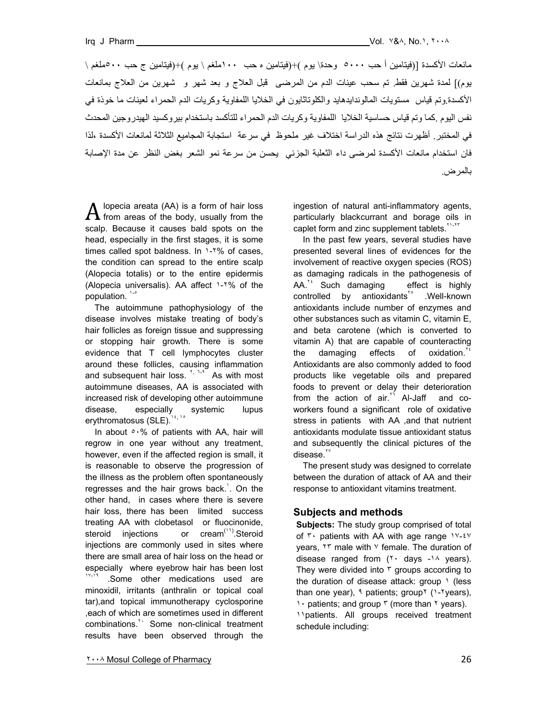مانعات الأكسدة [(فيتامين أ حب ٥٠٠٠ وحدة\ يوم )+(فيتامين ه حب ١٠٠ملغم \ يوم )+(فيتامين ج حب ٥٠٠ملغم \ يوم)] لمدة شهرين فقط. تم سحب عينات الدم من المرضى قبل العلاج و بعد شهر و شهرين من العلاج بمانعات الأكسدة.وتم قياس مستويات المالوندايدهايد والكلوتاثايون في الخلايا اللمفاوية وكريات الدم الحمراء لعينات ما خوذة في نفس اليوم .كما وتم قياس حساسية الخلايا اللمفاوية وكريات الدم الحمراء للتأكسد باستخدام بيروكسيد الهيدروجين المحدث في المختبر. أظهرت نتائج هذه الدراسة اختلاف غير ملحوظ في سرعة استجابة المجاميع الثلاثة لمانعات الأآسدة ،لذا فان استخدام مانعات الأآسدة لمرضى داء الثعلبة الجزئي يحسن من سرعة نمو الشعر بغض النظر عن مدة الإصابة بالمرض.

lopecia areata (AA) is a form of hair loss  $A$  lopecia areata (AA) is a form of hair loss<br> $A$  from areas of the body, usually from the scalp. Because it causes bald spots on the head, especially in the first stages, it is some times called spot baldness. In 1-1% of cases, the condition can spread to the entire scalp (Alopecia totalis) or to the entire epidermis (Alopecia universalis). AA affect ١-٢% of the population. 1-0

 The autoimmune pathophysiology of the disease involves mistake treating of body's hair follicles as foreign tissue and suppressing or stopping hair growth. There is some evidence that T cell lymphocytes cluster around these follicles, causing inflammation and subsequent hair loss. <sup>Y, 1-9</sup> As with most autoimmune diseases, AA is associated with increased risk of developing other autoimmune disease, especially systemic lupus erythromatosus (SLE).<sup>14, 16</sup>

In about  $\circ \cdot \%$  of patients with AA, hair will regrow in one year without any treatment, however, even if the affected region is small, it is reasonable to observe the progression of the illness as the problem often spontaneously regresses and the hair grows back.<sup>'</sup>. On the other hand, in cases where there is severe hair loss, there has been limited success treating AA with clobetasol or fluocinonide, steroid injections or cream<sup>(11)</sup>.Steroid injections are commonly used in sites where there are small area of hair loss on the head or especially where eyebrow hair has been lost .Some other medications used are minoxidil, irritants (anthralin or topical coal tar),and topical immunotherapy cyclosporine ,each of which are sometimes used in different combinations.<sup>1</sup> Some non-clinical treatment results have been observed through the ingestion of natural anti-inflammatory agents, particularly blackcurrant and borage oils in caplet form and zinc supplement tablets.<sup>11-11</sup>

 In the past few years, several studies have presented several lines of evidences for the involvement of reactive oxygen species (ROS) as damaging radicals in the pathogenesis of  $AA<sup>12</sup>$  Such damaging effect is highly controlled by antioxidants<sup>1°</sup> .Well-known antioxidants include number of enzymes and other substances such as vitamin C, vitamin E, and beta carotene (which is converted to vitamin A) that are capable of counteracting the damaging effects of oxidation.<sup>16</sup> Antioxidants are also commonly added to food products like vegetable oils and prepared foods to prevent or delay their deterioration from the action of  $air^T$  Al-Jaff and coworkers found a significant role of oxidative stress in patients with AA ,and that nutrient antioxidants modulate tissue antioxidant status and subsequently the clinical pictures of the  $disease.$ <sup>\*\*</sup>

 The present study was designed to correlate between the duration of attack of AA and their response to antioxidant vitamins treatment.

### **Subjects and methods**

**Subjects:** The study group comprised of total of ٣٠ patients with AA with age range ١٧-٤٧ years,  $Y^T$  male with  $Y$  female. The duration of disease ranged from  $(1 \cdot \text{ days} - 1)$  years). They were divided into  $\bar{r}$  groups according to the duration of disease attack: group \ (less than one year), ٩ patients; group [1-٢ years], 1. patients; and group  $\frac{1}{2}$  (more than  $\frac{1}{2}$  years). ١١patients. All groups received treatment schedule including: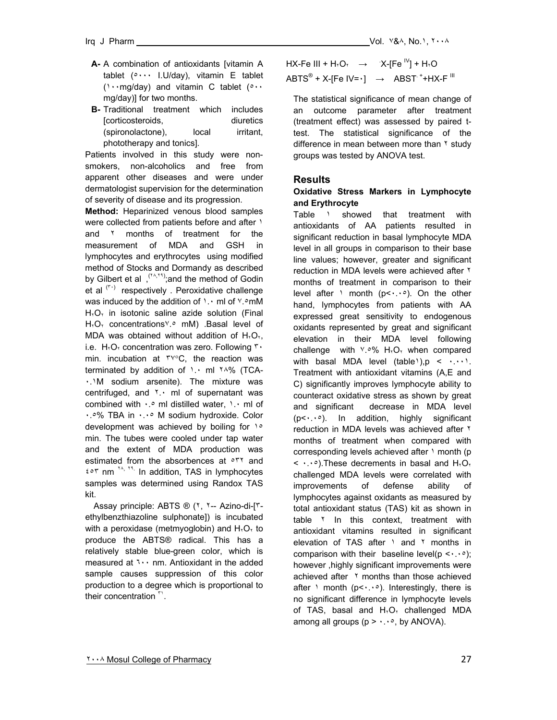- **A-** A combination of antioxidants [vitamin A tablet (٥٠٠٠ I.U/day), vitamin E tablet (١٠٠mg/day) and vitamin C tablet (٥٠٠ mg/day)] for two months.
- **B** Traditional treatment which includes [corticosteroids, diuretics (spironolactone), local irritant, phototherapy and tonics].

Patients involved in this study were nonsmokers, non-alcoholics and free from apparent other diseases and were under dermatologist supervision for the determination of severity of disease and its progression.

**Method:** Heparinized venous blood samples were collected from patients before and after  $\frac{1}{1}$ and ٢ months of treatment for the measurement of MDA and GSH in lymphocytes and erythrocytes using modified method of Stocks and Dormandy as described by Gilbert et al , (<sup>٢٨,٢٩</sup>); and the method of Godin et al  $(5)$  respectively . Peroxidative challenge was induced by the addition of  $\cdot \cdot$  ml of  $\cdot \cdot$  mM  $H<sub>Y</sub>O<sub>Y</sub>$  in isotonic saline azide solution (Final  $H<sub>Y</sub>O<sub>Y</sub>$  concentrations<sup>v</sup>.<sup>o</sup> mM) .Basal level of MDA was obtained without addition of  $H<sub>r</sub>O<sub>r</sub>$ , i.e.  $H_1O_1$  concentration was zero. Following  $\mathbf{r}$ . min. incubation at ٣٧°C, the reaction was terminated by addition of ١.٠ ml ٢٨% (TCA-٠.١M sodium arsenite). The mixture was centrifuged, and ٢.٠ ml of supernatant was combined with ٠.٥ ml distilled water, ١.٠ ml of ٠.٥% TBA in ٠.٠٥ M sodium hydroxide. Color development was achieved by boiling for 10 min. The tubes were cooled under tap water and the extent of MDA production was estimated from the absorbences at  $\circ$ <sup>r and</sup> ٤٥٣ nm <sup>٢٨</sup>, ٢٩. In addition, TAS in lymphocytes samples was determined using Randox TAS kit.

 Assay principle: ABTS ® (٢, ٢-- Azino-di-[٣ ethylbenzthiazoline sulphonate]) is incubated with a peroxidase (metmyoglobin) and  $H_{x}\text{O}_{x}$  to produce the ABTS® radical. This has a relatively stable blue-green color, which is measured at ٦٠٠ nm. Antioxidant in the added sample causes suppression of this color production to a degree which is proportional to their concentration<sup>"</sup>.

 $\mathsf{ABTS}^\circledast$  + X-[Fe IV= $\cdot$ ]  $\;\;\rightarrow\;\;$  ABST  $^+$ +HX-F  $^{\mathsf{III}}$  $HX-Fe III + H<sub>Y</sub>O<sub>Y</sub> \rightarrow X-[Fe<sup>IV</sup>] + H<sub>Y</sub>O$ 

The statistical significance of mean change of an outcome parameter after treatment (treatment effect) was assessed by paired ttest. The statistical significance of the difference in mean between more than  $\gamma$  study groups was tested by ANOVA test.

# **Results**

### **Oxidative Stress Markers in Lymphocyte and Erythrocyte**

Table 1 showed that treatment with antioxidants of AA patients resulted in significant reduction in basal lymphocyte MDA level in all groups in comparison to their base line values; however, greater and significant reduction in MDA levels were achieved after ٢ months of treatment in comparison to their level after  $\lambda$  month ( $p \leq \lambda p$ ). On the other hand, lymphocytes from patients with AA expressed great sensitivity to endogenous oxidants represented by great and significant elevation in their MDA level following challenge with  $Y.°% H<sub>Y</sub>O<sub>Y</sub>$  when compared with basal MDA level  $(table)$ ,  $p \leq \cdots$ . Treatment with antioxidant vitamins (A,E and C) significantly improves lymphocyte ability to counteract oxidative stress as shown by great and significant decrease in MDA level (p<٠.٠٥). In addition, highly significant reduction in MDA levels was achieved after ٢ months of treatment when compared with corresponding levels achieved after \ month (p  $\leq$   $\cdots$ ). These decrements in basal and  $H_{x}\mathbb{O}_{x}$ challenged MDA levels were correlated with improvements of defense ability of lymphocytes against oxidants as measured by total antioxidant status (TAS) kit as shown in table <sup>Y</sup> In this context, treatment with antioxidant vitamins resulted in significant elevation of TAS after 1 and 1 months in comparison with their baseline level( $p \leq \cdots$ ); however ,highly significant improvements were achieved after  $\lambda$  months than those achieved after  $\lambda$  month ( $p \leq \lambda \leq \lambda$ ). Interestingly, there is no significant difference in lymphocyte levels of TAS, basal and  $H<sub>x</sub>O<sub>x</sub>$  challenged MDA among all groups ( $p > \cdots$ , by ANOVA).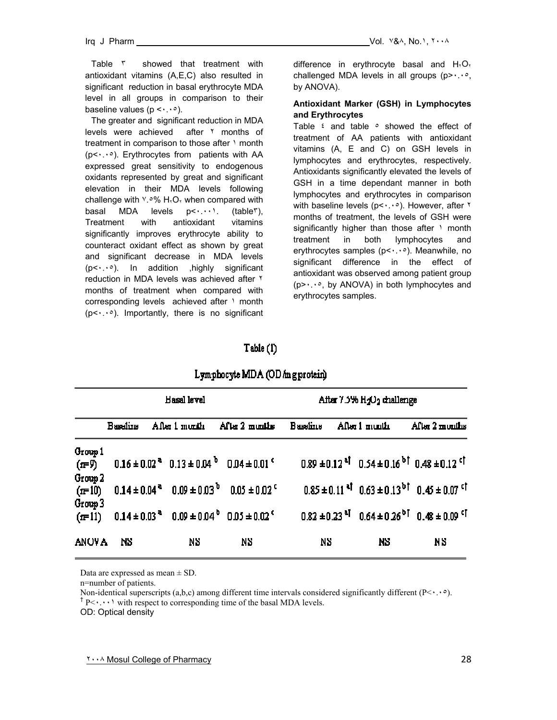Table **r** showed that treatment with antioxidant vitamins (A,E,C) also resulted in significant reduction in basal erythrocyte MDA level in all groups in comparison to their baseline values  $(p \leq \cdots \geq)$ .

The greater and significant reduction in MDA levels were achieved after ٢ months of treatment in comparison to those after  $\lambda$  month (p<٠.٠٥). Erythrocytes from patients with AA expressed great sensitivity to endogenous oxidants represented by great and significant elevation in their MDA levels following challenge with  $Y.°% H<sub>Y</sub>O<sub>Y</sub>$  when compared with basal MDA levels  $p<\cdots$ , (table<sup>r</sup>), Treatment with antioxidant vitamins significantly improves erythrocyte ability to counteract oxidant effect as shown by great and significant decrease in MDA levels (p<٠.٠٥). In addition ,highly significant reduction in MDA levels was achieved after ٢ months of treatment when compared with corresponding levels achieved after \ month  $(p<\cdot\cdot\cdot)$ . Importantly, there is no significant difference in erythrocyte basal and  $H<sub>r</sub>O<sub>r</sub>$ challenged MDA levels in all groups (p> $\cdots$ °, by ANOVA).

## **Antioxidant Marker (GSH) in Lymphocytes and Erythrocytes**

Table  $\epsilon$  and table  $\circ$  showed the effect of treatment of AA patients with antioxidant vitamins (A, E and C) on GSH levels in lymphocytes and erythrocytes, respectively. Antioxidants significantly elevated the levels of GSH in a time dependant manner in both lymphocytes and erythrocytes in comparison with baseline levels (p < . . . . However, after ٢ months of treatment, the levels of GSH were significantly higher than those after \ month treatment in both lymphocytes and erythrocytes samples (p<٠.٠٥). Meanwhile, no significant difference in the effect of antioxidant was observed among patient group (p>٠.٠٥, by ANOVA) in both lymphocytes and erythrocytes samples.

# $Table(1)$

|                    |                 | <b>Basal</b> level |                                       | After $7.5\%$ H <sub>2</sub> O <sub>2</sub> challenge |                |                                                                                                                                                                                                                   |  |
|--------------------|-----------------|--------------------|---------------------------------------|-------------------------------------------------------|----------------|-------------------------------------------------------------------------------------------------------------------------------------------------------------------------------------------------------------------|--|
|                    | <b>Baseline</b> |                    | After 1 month After 2 months Baseline |                                                       | After 1 muniti | After 2 months                                                                                                                                                                                                    |  |
| Group 1<br>$(r=9)$ |                 |                    |                                       |                                                       |                | $0.16 \pm 0.02^{\text{ a}}$ $0.13 \pm 0.04^{\text{ b}}$ $0.04 \pm 0.01^{\text{ c}}$ $0.89 \pm 0.12^{\text{ a}\dagger}$ $0.54 \pm 0.16^{\text{ b}\dagger}$ $0.48 \pm 0.12^{\text{ c}\dagger}$                      |  |
| Group 2            |                 |                    |                                       |                                                       |                | $(\text{m} = 10)$ $0.14 \pm 0.04^{\circ}$ $0.09 \pm 0.03^{\circ}$ $0.05 \pm 0.02^{\circ}$ $0.85 \pm 0.11^{\circ}$ $0.63 \pm 0.13^{\circ}$ $0.45 \pm 0.07^{\circ}$                                                 |  |
| Group 3            |                 |                    |                                       |                                                       |                | $(r=11)$ $0.14 \pm 0.03$ <sup>a</sup> $0.09 \pm 0.04$ <sup>b</sup> $0.05 \pm 0.02$ <sup>c</sup> $0.82 \pm 0.23$ <sup>a</sup> <sup>T</sup> $0.64 \pm 0.26$ <sup>b</sup> <sup>T</sup> $0.48 \pm 0.09$ <sup>cT</sup> |  |
| <b>ANOVA</b>       | NS.             | NS.                | NS.                                   | NS.                                                   | NS.            | NS.                                                                                                                                                                                                               |  |

# Lymphocyte MDA (OD m g protein)

Data are expressed as mean  $\pm$  SD.

n=number of patients.

Non-identical superscripts (a,b,c) among different time intervals considered significantly different ( $P\leq\cdot\cdot\cdot\in$ ).  $\Gamma_{P}$   $\leftarrow$   $\cdots$  with respect to corresponding time of the basal MDA levels.

OD: Optical density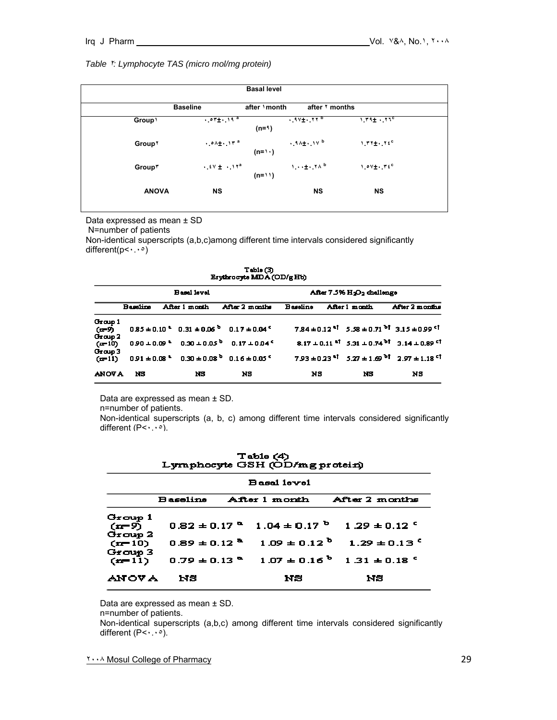#### *Table* ٢*: Lymphocyte TAS (micro mol/mg protein)*

| <b>Basal level</b> |                             |              |                               |                                       |  |
|--------------------|-----------------------------|--------------|-------------------------------|---------------------------------------|--|
|                    | <b>Baseline</b>             | after \month | after Y months                |                                       |  |
| Group \            | $.$ $07\pm .$ , $19\degree$ | $(n=1)$      | $.9V_{\pm}$ . 11 <sup>b</sup> | $1.19 + .110$                         |  |
| Group <sup>Y</sup> | $.01 + 11a$                 | $(n=1)$      | $.34 + .14b$                  | $1.77 \pm .72$                        |  |
| <b>Group*</b>      | $. 5V + .1Ya$               | $(n=1)$      | $1 \cdot 1$ $+ \cdot 10$      | $1.0V_{\pm}$ , $V_{\pm}$ <sup>C</sup> |  |
| <b>ANOVA</b>       | <b>NS</b>                   |              | <b>NS</b>                     | <b>NS</b>                             |  |

Data expressed as mean ± SD

N=number of patients

Non-identical superscripts (a,b,c)among different time intervals considered significantly different( $p$ < $\cdots$ °)

| Erythrocyte MDA (OD/g Hb)       |                    |               |                                                                                                  |     |                                                    |               |                                                                                           |  |
|---------------------------------|--------------------|---------------|--------------------------------------------------------------------------------------------------|-----|----------------------------------------------------|---------------|-------------------------------------------------------------------------------------------|--|
|                                 | <b>Basal</b> level |               |                                                                                                  |     | After 7.5% H <sub>2</sub> O <sub>2</sub> challenge |               |                                                                                           |  |
|                                 | <b>Basalina</b>    | After 1 month | After 2 months Baseline                                                                          |     |                                                    | After 1 month | After 2 months                                                                            |  |
| Group 1<br>$(r = 9)$<br>Group 2 |                    |               | $0.85 \pm 0.10^{\circ}$ $0.31 \pm 0.06^{\circ}$ $0.17 \pm 0.04^{\circ}$                          |     |                                                    |               | $7.84 \pm 0.12$ <sup>3</sup> $5.58 \pm 0.71$ <sup>3</sup> $3.15 \pm 0.99$ <sup>c</sup>    |  |
| $(r=10)$                        |                    |               | $0.90 \pm 0.09$ $*$ $0.30 \pm 0.05$ $0.17 \pm 0.04$                                              |     |                                                    |               | $8.17 \pm 0.11$ <sup>al</sup> 5.31 $\pm$ 0.74 <sup>bl</sup> 3.14 $\pm$ 0.89 <sup>cl</sup> |  |
| Group <sub>3</sub>              |                    |               | $(rr=11)$ $0.91 \pm 0.08$ <sup>2</sup> $0.30 \pm 0.08$ <sup>3</sup> $0.16 \pm 0.05$ <sup>c</sup> |     |                                                    |               | $7.93 \pm 0.23$ <sup>at</sup> $5.27 \pm 1.69$ <sup>bt</sup> $2.97 \pm 1.18$ <sup>ct</sup> |  |
| <b>ANOVA</b>                    | мs                 | NS.           | NS.                                                                                              | NS. |                                                    | NS.           | NS.                                                                                       |  |

 $Table(3)$ 

Data are expressed as mean ± SD.

n=number of patients.

Non-identical superscripts (a, b, c) among different time intervals considered significantly different (P<٠.٠٥).

| Table (4)<br>Lymphocyte GSH (OD/mg protein)        |                              |  |                              |                              |  |  |  |  |
|----------------------------------------------------|------------------------------|--|------------------------------|------------------------------|--|--|--|--|
| <b>Basal level</b>                                 |                              |  |                              |                              |  |  |  |  |
| <b>Baseline</b><br>After 1 month<br>After 2 months |                              |  |                              |                              |  |  |  |  |
| Group 1<br>$(r = 9)$<br>Group 2                    | $0.82 \pm 0.17$ $^{\circ}$   |  | 1.04 $\pm$ 0.17 <sup>b</sup> | $1.29 \pm 0.12$ $^{\circ}$   |  |  |  |  |
| $(r=10)$                                           | $0.89 \pm 0.12$ <sup>2</sup> |  | 1.09 ± 0.12 $^{\rm b}$       | $1.29 \pm 0.135$             |  |  |  |  |
| Group 3<br>$(r = 11)$                              | $0.79 \pm 0.13$ $^{\circ}$   |  | $1.07 \pm 0.16$ <sup>b</sup> | $1.31 \pm 0.18$ <sup>5</sup> |  |  |  |  |
| ANOV A                                             | NЗ                           |  | NS                           | МS                           |  |  |  |  |

Data are expressed as mean ± SD.

n=number of patients.

Non-identical superscripts (a,b,c) among different time intervals considered significantly different  $(P<\cdot \cdot \cdot \circ)$ .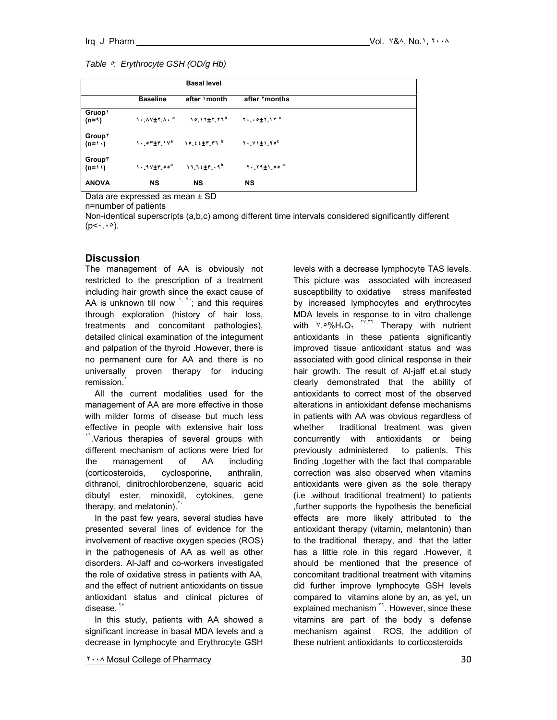|                                      |                 | <b>Basal level</b>                                  |                          |  |
|--------------------------------------|-----------------|-----------------------------------------------------|--------------------------|--|
|                                      | <b>Baseline</b> | after \month                                        | after <i>'months</i>     |  |
| Gruop \<br>$(n=1)$                   |                 | $1.4V+1.4$ $10.17+1.71^b$                           | $Y_1 \cdot 0 + Y_1 Y^c$  |  |
| <b>Group</b> <sup>Y</sup><br>$(n=1)$ |                 | $1.$ $0.07 + 1.11$ $10.66 + 1.111$ $10.66 + 1.1111$ | $Y \cdot Y$ $Y \pm 1.90$ |  |
| Group*<br>$(n=1)$                    | $1.11 + 7.00a$  | $11.12 \pm 7.19$                                    | $1.11 + 1.00$            |  |
| <b>ANOVA</b>                         | <b>NS</b>       | <b>NS</b>                                           | <b>NS</b>                |  |

Data are expressed as mean ± SD

n=number of patients

Non-identical superscripts (a,b,c) among different time intervals considered significantly different  $(p<\cdot \cdot \cdot \circ)$ .

#### **Discussion**

The management of AA is obviously not restricted to the prescription of a treatment including hair growth since the exact cause of AA is unknown till now  $\frac{1}{2}$ ,  $\frac{1}{2}$  and this requires through exploration (history of hair loss, treatments and concomitant pathologies), detailed clinical examination of the integument and palpation of the thyroid .However, there is no permanent cure for AA and there is no universally proven therapy for inducing remission.

 All the current modalities used for the management of AA are more effective in those with milder forms of disease but much less effective in people with extensive hair loss <sup>17</sup>. Various therapies of several groups with different mechanism of actions were tried for the management of AA including (corticosteroids, cyclosporine, anthralin, dithranol, dinitrochlorobenzene, squaric acid dibutyl ester, minoxidil, cytokines, gene therapy, and melatonin). $\sqrt{2}$ 

 In the past few years, several studies have presented several lines of evidence for the involvement of reactive oxygen species (ROS) in the pathogenesis of AA as well as other disorders. Al-Jaff and co-workers investigated the role of oxidative stress in patients with AA, and the effect of nutrient antioxidants on tissue antioxidant status and clinical pictures of disease.<sup>17</sup>

 In this study, patients with AA showed a significant increase in basal MDA levels and a decrease in lymphocyte and Erythrocyte GSH levels with a decrease lymphocyte TAS levels. This picture was associated with increased susceptibility to oxidative stress manifested by increased lymphocytes and erythrocytes MDA levels in response to in vitro challenge with  $Y.\circ\%H_1O_1$   $Y,Y,Y$  Therapy with nutrient antioxidants in these patients significantly improved tissue antioxidant status and was associated with good clinical response in their hair growth. The result of Al-jaff et.al study clearly demonstrated that the ability of antioxidants to correct most of the observed alterations in antioxidant defense mechanisms in patients with AA was obvious regardless of whether traditional treatment was given concurrently with antioxidants or being previously administered to patients. This finding ,together with the fact that comparable correction was also observed when vitamins antioxidants were given as the sole therapy (i.e .without traditional treatment) to patients ,further supports the hypothesis the beneficial effects are more likely attributed to the antioxidant therapy (vitamin, melantonin) than to the traditional therapy, and that the latter has a little role in this regard .However, it should be mentioned that the presence of concomitant traditional treatment with vitamins did further improve lymphocyte GSH levels compared to vitamins alone by an, as yet, un explained mechanism<sup>"</sup>. However, since these vitamins are part of the body 's defense mechanism against ROS, the addition of these nutrient antioxidants to corticosteroids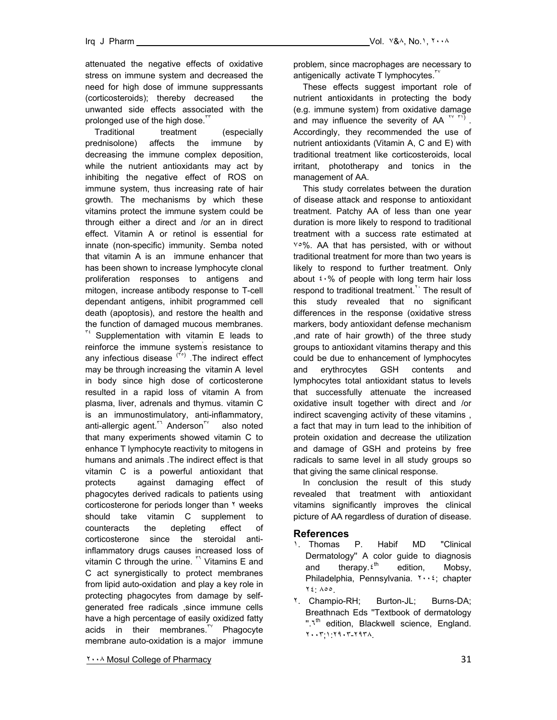attenuated the negative effects of oxidative stress on immune system and decreased the need for high dose of immune suppressants (corticosteroids); thereby decreased the unwanted side effects associated with the prolonged use of the high dose.<sup>"</sup>

 Traditional treatment (especially prednisolone) affects the immune by decreasing the immune complex deposition, while the nutrient antioxidants may act by inhibiting the negative effect of ROS on immune system, thus increasing rate of hair growth. The mechanisms by which these vitamins protect the immune system could be through either a direct and /or an in direct effect. Vitamin A or retinol is essential for innate (non-specific) immunity. Semba noted that vitamin A is an immune enhancer that has been shown to increase lymphocyte clonal proliferation responses to antigens and mitogen, increase antibody response to T-cell dependant antigens, inhibit programmed cell death (apoptosis), and restore the health and the function of damaged mucous membranes.

 $\mathbf{r}^t$  Supplementation with vitamin E leads to reinforce the immune system' s resistance to any infectious disease  $(5)$ . The indirect effect may be through increasing the vitamin A level in body since high dose of corticosterone resulted in a rapid loss of vitamin A from plasma, liver, adrenals and thymus. vitamin C is an immunostimulatory, anti-inflammatory, anti-allergic agent.<sup>™</sup> Anderson<sup>™</sup> also noted that many experiments showed vitamin C to enhance T lymphocyte reactivity to mitogens in humans and animals .The indirect effect is that vitamin C is a powerful antioxidant that protects against damaging effect of phagocytes derived radicals to patients using corticosterone for periods longer than ٢ weeks should take vitamin C supplement to counteracts the depleting effect of corticosterone since the steroidal antiinflammatory drugs causes increased loss of vitamin C through the urine.  $\mathbb{R}^7$  Vitamins E and C act synergistically to protect membranes from lipid auto-oxidation and play a key role in protecting phagocytes from damage by selfgenerated free radicals ,since immune cells have a high percentage of easily oxidized fatty acids in their membranes.<sup>"</sup> Phagocyte membrane auto-oxidation is a major immune

problem, since macrophages are necessary to antigenically activate T lymphocytes.<sup>"</sup>

 These effects suggest important role of nutrient antioxidants in protecting the body (e.g. immune system) from oxidative damage and may influence the severity of AA  $\binom{11}{11}$ . Accordingly, they recommended the use of nutrient antioxidants (Vitamin A, C and E) with traditional treatment like corticosteroids, local irritant, phototherapy and tonics in the management of AA.

 This study correlates between the duration of disease attack and response to antioxidant treatment. Patchy AA of less than one year duration is more likely to respond to traditional treatment with a success rate estimated at ٧٥%. AA that has persisted, with or without traditional treatment for more than two years is likely to respond to further treatment. Only about  $\frac{1}{2}$  of people with long term hair loss respond to traditional treatment.<sup>11</sup> The result of this study revealed that no significant differences in the response (oxidative stress markers, body antioxidant defense mechanism ,and rate of hair growth) of the three study groups to antioxidant vitamins therapy and this could be due to enhancement of lymphocytes and erythrocytes GSH contents and lymphocytes total antioxidant status to levels that successfully attenuate the increased oxidative insult together with direct and /or indirect scavenging activity of these vitamins , a fact that may in turn lead to the inhibition of protein oxidation and decrease the utilization and damage of GSH and proteins by free radicals to same level in all study groups so that giving the same clinical response.

 In conclusion the result of this study revealed that treatment with antioxidant vitamins significantly improves the clinical picture of AA regardless of duration of disease.

### **References**

- ١. Thomas P. Habif MD "Clinical Dermatology'' A color guide to diagnosis and therapy. $\epsilon^{th}$  edition, Mobsy, Philadelphia, Pennsylvania. ٢٠٠٤; chapter ٢٤: ٨٥٥.
- ٢. Champio-RH; Burton-JL; Burns-DA; Breathnach Eds ''Textbook of dermatology ".<sup>1th</sup> edition, Blackwell science, England. ٢٠٠٣;١:٢٩٠٣-٢٩٣٨.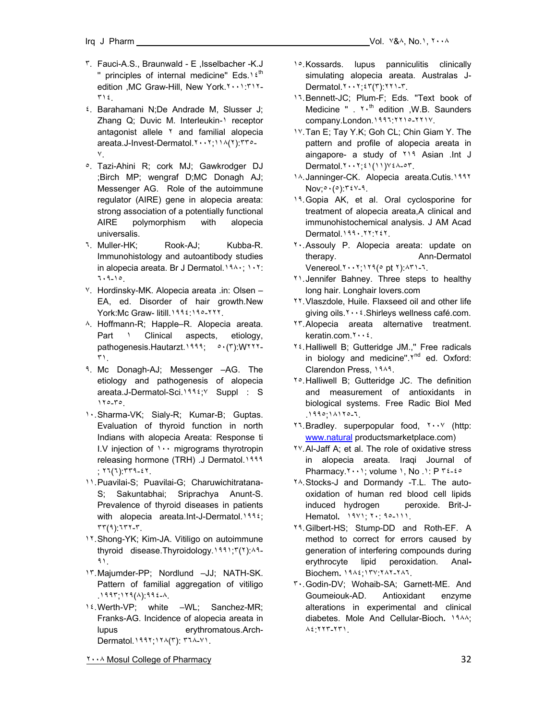- ٣. Fauci-A.S., Braunwald E ,Isselbacher -K.J " principles of internal medicine" Eds.<sup>1 {th</sup> edition ,MC Graw-Hill, New York.٢٠٠١:٣١٢- ٣١٤.
- ٤. Barahamani N;De Andrade M, Slusser J; Zhang Q; Duvic M. Interleukin-1 receptor antagonist allele <sup>r</sup> and familial alopecia areata.J-Invest-Dermatol.٢٠٠٢;١١٨(٢):٣٣٥- ٧.
- ٥. Tazi-Ahini R; cork MJ; Gawkrodger DJ ;Birch MP; wengraf D;MC Donagh AJ; Messenger AG. Role of the autoimmune regulator (AIRE) gene in alopecia areata: strong association of a potentially functional AIRE polymorphism with alopecia universalis.
- ٦. Muller-HK; Rook-AJ; Kubba-R. Immunohistology and autoantibody studies in alopecia areata. Br J Dermatol.١٩٨٠; ١٠٢: ٦٠٩-١٥.
- ٧. Hordinsky-MK. Alopecia areata .in: Olsen EA, ed. Disorder of hair growth.New York:Mc Graw- litill.١٩٩٤:١٩٥-٢٢٢.
- ٨. Hoffmann-R; Happle–R. Alopecia areata. Part 1 Clinical aspects, etiology, pathogenesis.Hautarzt.١٩٩٩; ٥٠(٣):W٢٢٢- ٣١.
- ٩. Mc Donagh-AJ; Messenger –AG. The etiology and pathogenesis of alopecia areata.J-Dermatol-Sci.١٩٩٤;٧ Suppl : S ١٢٥-٣٥.
- ١٠. Sharma-VK; Sialy-R; Kumar-B; Guptas. Evaluation of thyroid function in north Indians with alopecia Areata: Response ti I.V injection of ١٠٠ migrograms thyrotropin releasing hormone (TRH) .J Dermatol.١٩٩٩ ; ٢٦(٦):٣٣٩-٤٢.
- ١١. Puavilai-S; Puavilai-G; Charuwichitratana-S; Sakuntabhai; Sriprachya Anunt-S. Prevalence of thyroid diseases in patients with alopecia areata.Int-J-Dermatol.١٩٩٤; ٣٣(٩):٦٣٢-٣.
- ١٢. Shong-YK; Kim-JA. Vitiligo on autoimmune thyroid disease.Thyroidology.١٩٩١;٣(٢):٨٩- ٩١.
- ١٣. Majumder-PP; Nordlund –JJ; NATH-SK. Pattern of familial aggregation of vitiligo .١٩٩٣;١٢٩(٨):٩٩٤-٨.
- ١٤. Werth-VP; white –WL; Sanchez-MR; Franks-AG. Incidence of alopecia areata in lupus erythromatous.Arch-Dermatol.١٩٩٢;١٢٨(٣): ٣٦٨-٧١.
- 1<sup>o</sup>. Kossards. lupus panniculitis clinically simulating alopecia areata. Australas J-Dermatol.٢٠٠٢;٤٣(٣):٢٢١-٣.
- ١٦. Bennett-JC; Plum-F; Eds. ''Text book of Medicine  $"$ .  $\gamma \cdot$ <sup>th</sup> edition , W.B. Saunders company.London.١٩٩٦:٢٢١٥-٢٢١٧.
- ١٧. Tan E; Tay Y.K; Goh CL; Chin Giam Y. The pattern and profile of alopecia areata in aingapore- a study of ٢١٩ Asian .Int J Dermatol.٢٠٠٢;٤١(١١)٧٤٨-٥٣.
- ١٨. Janninger-CK. Alopecia areata.Cutis.١٩٩٢ Nov;٥٠(٥):٣٤٧-٩.
- ١٩. Gopia AK, et al. Oral cyclosporine for treatment of alopecia areata,A clinical and immunohistochemical analysis. J AM Acad Dermatol.١٩٩٠.٢٢:٢٤٢.
- ٢٠. Assouly P. Alopecia areata: update on therapy. **Ann-Dermatol** Venereol.٢٠٠٢;١٢٩(٥ pt ٢):٨٣١-٦.
- ٢١. Jennifer Bahney. Three steps to healthy long hair. Longhair lovers.com
- ٢٢. Vlaszdole, Huile. Flaxseed oil and other life giving oils.٢٠٠٤.Shirleys wellness café.com.
- ٢٣. Alopecia areata alternative treatment. keratin.com.٢٠٠٤.
- ٢٤. Halliwell B; Gutteridge JM.,'' Free radicals in biology and medicine". $Y^{nd}$  ed. Oxford: Clarendon Press, ١٩٨٩.
- ٢٥. Halliwell B; Gutteridge JC. The definition and measurement of antioxidants in biological systems. Free Radic Biol Med .١٩٩٥;١٨١٢٥-٦.
- ٢٦. Bradley. superpopular food, ٢٠٠٧ (http: www.natural productsmarketplace.com)
- ٢٧. Al-Jaff A; et al. The role of oxidative stress in alopecia areata. Iraqi Journal of Pharmacy.٢٠٠١; volume ١, No .١: P ٣٤-٤٥
- ٢٨. Stocks-J and Dormandy -T.L. The autooxidation of human red blood cell lipids induced hydrogen peroxide. Brit-J-Hematol**.** ١٩٧١; ٢٠: ٩٥-١١١.
- ٢٩. Gilbert-HS; Stump-DD and Roth-EF. A method to correct for errors caused by generation of interfering compounds during erythrocyte lipid peroxidation. Anal**-**Biochem**.** ١٩٨٤;١٣٧:٢٨٢-٢٨٦.
- ٣٠. Godin-DV; Wohaib-SA; Garnett-ME. And Goumeiouk-AD. Antioxidant enzyme alterations in experimental and clinical diabetes. Mole And Cellular-Bioch**.** ١٩٨٨; ٨٤:٢٢٣-٢٣١.